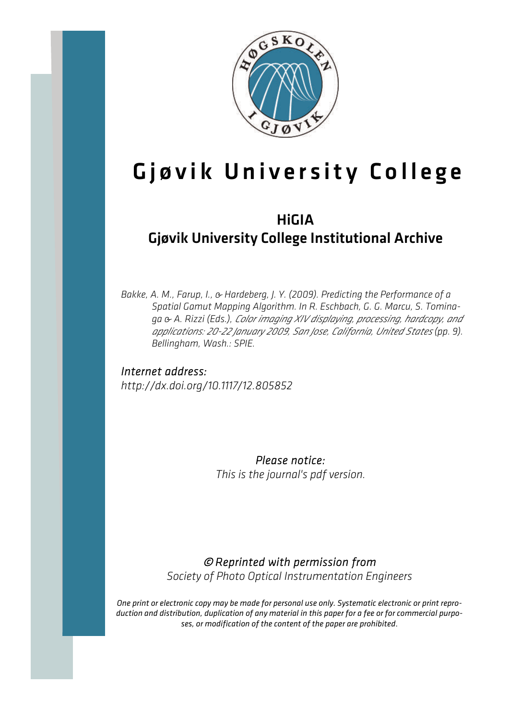

# Gjøvik University College

## HiGIA Gjøvik University College Institutional Archive

*Bakke, A. M., Farup, I., & Hardeberg, J. Y. (2009). Predicting the Performance of a Spatial Gamut Mapping Algorithm. In R. Eschbach, G. G. Marcu, S. Tominaga & A. Rizzi (Eds.), Color imaging XIV displaying, processing, hardcopy, and applications: 20-22 January 2009, San Jose, California, United States (pp. 9). Bellingham, Wash.: SPIE.* 

*Internet address: <http://dx.doi.org/10.1117/12.805852>* 

> *Please notice: This is the journal's pdf version.*

*© Reprinted with permission from Society of Photo Optical Instrumentation Engineers* 

*One print or electronic copy may be made for personal use only. Systematic electronic or print reproduction and distribution, duplication of any material in this paper for a fee or for commercial purposes, or modification of the content of the paper are prohibited*.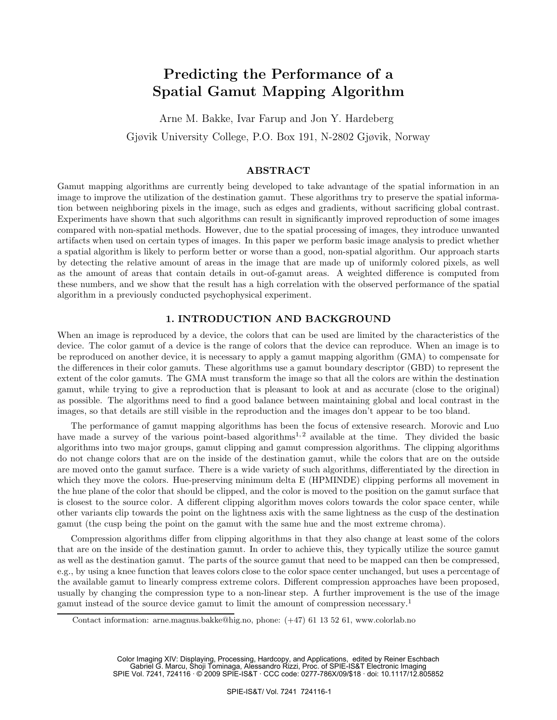### **Predicting the Performance of a Spatial Gamut Mapping Algorithm**

Arne M. Bakke, Ivar Farup and Jon Y. Hardeberg Gjøvik University College, P.O. Box 191, N-2802 Gjøvik, Norway

#### **ABSTRACT**

Gamut mapping algorithms are currently being developed to take advantage of the spatial information in an image to improve the utilization of the destination gamut. These algorithms try to preserve the spatial information between neighboring pixels in the image, such as edges and gradients, without sacrificing global contrast. Experiments have shown that such algorithms can result in significantly improved reproduction of some images compared with non-spatial methods. However, due to the spatial processing of images, they introduce unwanted artifacts when used on certain types of images. In this paper we perform basic image analysis to predict whether a spatial algorithm is likely to perform better or worse than a good, non-spatial algorithm. Our approach starts by detecting the relative amount of areas in the image that are made up of uniformly colored pixels, as well as the amount of areas that contain details in out-of-gamut areas. A weighted difference is computed from these numbers, and we show that the result has a high correlation with the observed performance of the spatial algorithm in a previously conducted psychophysical experiment.

#### **1. INTRODUCTION AND BACKGROUND**

When an image is reproduced by a device, the colors that can be used are limited by the characteristics of the device. The color gamut of a device is the range of colors that the device can reproduce. When an image is to be reproduced on another device, it is necessary to apply a gamut mapping algorithm (GMA) to compensate for the differences in their color gamuts. These algorithms use a gamut boundary descriptor (GBD) to represent the extent of the color gamuts. The GMA must transform the image so that all the colors are within the destination gamut, while trying to give a reproduction that is pleasant to look at and as accurate (close to the original) as possible. The algorithms need to find a good balance between maintaining global and local contrast in the images, so that details are still visible in the reproduction and the images don't appear to be too bland.

The performance of gamut mapping algorithms has been the focus of extensive research. Morovic and Luo have made a survey of the various point-based algorithms<sup>1,2</sup> available at the time. They divided the basic algorithms into two major groups, gamut clipping and gamut compression algorithms. The clipping algorithms do not change colors that are on the inside of the destination gamut, while the colors that are on the outside are moved onto the gamut surface. There is a wide variety of such algorithms, differentiated by the direction in which they move the colors. Hue-preserving minimum delta E (HPMINDE) clipping performs all movement in the hue plane of the color that should be clipped, and the color is moved to the position on the gamut surface that is closest to the source color. A different clipping algorithm moves colors towards the color space center, while other variants clip towards the point on the lightness axis with the same lightness as the cusp of the destination gamut (the cusp being the point on the gamut with the same hue and the most extreme chroma).

Compression algorithms differ from clipping algorithms in that they also change at least some of the colors that are on the inside of the destination gamut. In order to achieve this, they typically utilize the source gamut as well as the destination gamut. The parts of the source gamut that need to be mapped can then be compressed, e.g., by using a knee function that leaves colors close to the color space center unchanged, but uses a percentage of the available gamut to linearly compress extreme colors. Different compression approaches have been proposed, usually by changing the compression type to a non-linear step. A further improvement is the use of the image gamut instead of the source device gamut to limit the amount of compression necessary.<sup>1</sup>

Contact information: arne.magnus.bakke@hig.no, phone: (+47) 61 13 52 61, www.colorlab.no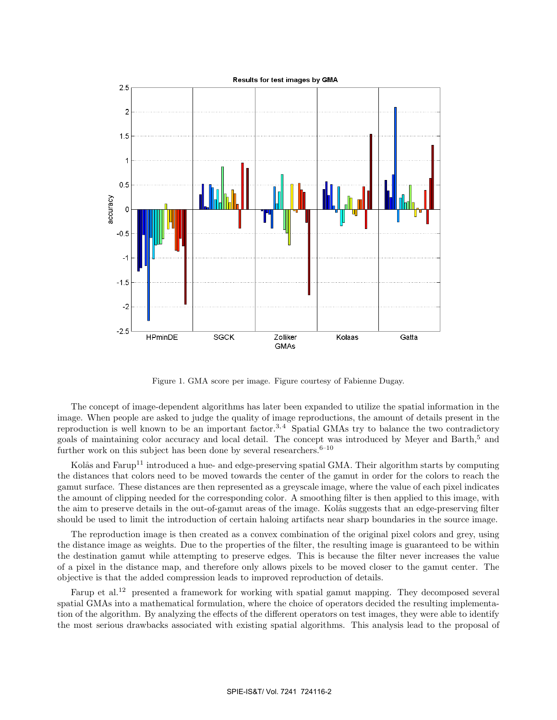

Figure 1. GMA score per image. Figure courtesy of Fabienne Dugay.

The concept of image-dependent algorithms has later been expanded to utilize the spatial information in the image. When people are asked to judge the quality of image reproductions, the amount of details present in the reproduction is well known to be an important factor.<sup>3,4</sup> Spatial GMAs try to balance the two contradictory goals of maintaining color accuracy and local detail. The concept was introduced by Meyer and Barth,<sup>5</sup> and further work on this subject has been done by several researchers.  $6-10$ 

Kolås and Farup<sup>11</sup> introduced a hue- and edge-preserving spatial GMA. Their algorithm starts by computing the distances that colors need to be moved towards the center of the gamut in order for the colors to reach the gamut surface. These distances are then represented as a greyscale image, where the value of each pixel indicates the amount of clipping needed for the corresponding color. A smoothing filter is then applied to this image, with the aim to preserve details in the out-of-gamut areas of the image. Kolås suggests that an edge-preserving filter should be used to limit the introduction of certain haloing artifacts near sharp boundaries in the source image.

The reproduction image is then created as a convex combination of the original pixel colors and grey, using the distance image as weights. Due to the properties of the filter, the resulting image is guaranteed to be within the destination gamut while attempting to preserve edges. This is because the filter never increases the value of a pixel in the distance map, and therefore only allows pixels to be moved closer to the gamut center. The objective is that the added compression leads to improved reproduction of details.

Farup et al.<sup>12</sup> presented a framework for working with spatial gamut mapping. They decomposed several spatial GMAs into a mathematical formulation, where the choice of operators decided the resulting implementation of the algorithm. By analyzing the effects of the different operators on test images, they were able to identify the most serious drawbacks associated with existing spatial algorithms. This analysis lead to the proposal of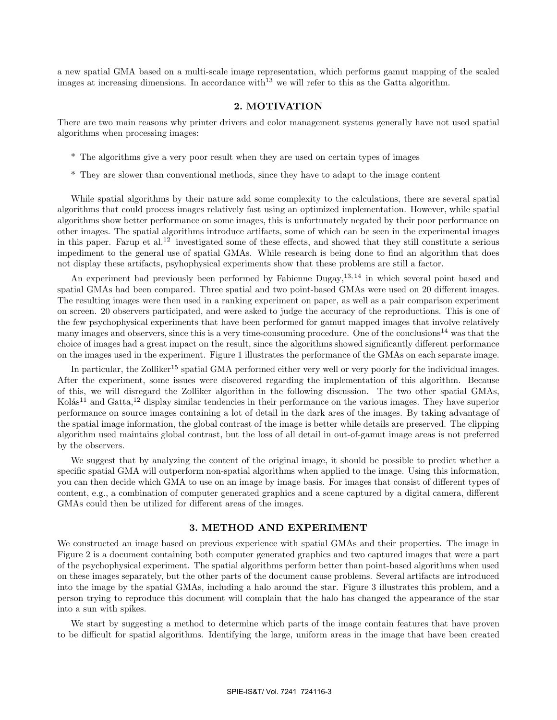a new spatial GMA based on a multi-scale image representation, which performs gamut mapping of the scaled images at increasing dimensions. In accordance with<sup>13</sup> we will refer to this as the Gatta algorithm.

#### **2. MOTIVATION**

There are two main reasons why printer drivers and color management systems generally have not used spatial algorithms when processing images:

- \* The algorithms give a very poor result when they are used on certain types of images
- \* They are slower than conventional methods, since they have to adapt to the image content

While spatial algorithms by their nature add some complexity to the calculations, there are several spatial algorithms that could process images relatively fast using an optimized implementation. However, while spatial algorithms show better performance on some images, this is unfortunately negated by their poor performance on other images. The spatial algorithms introduce artifacts, some of which can be seen in the experimental images in this paper. Farup et al.<sup>12</sup> investigated some of these effects, and showed that they still constitute a serious impediment to the general use of spatial GMAs. While research is being done to find an algorithm that does not display these artifacts, psyhophysical experiments show that these problems are still a factor.

An experiment had previously been performed by Fabienne Dugay,  $13, 14$  in which several point based and spatial GMAs had been compared. Three spatial and two point-based GMAs were used on 20 different images. The resulting images were then used in a ranking experiment on paper, as well as a pair comparison experiment on screen. 20 observers participated, and were asked to judge the accuracy of the reproductions. This is one of the few psychophysical experiments that have been performed for gamut mapped images that involve relatively many images and observers, since this is a very time-consuming procedure. One of the conclusions<sup>14</sup> was that the choice of images had a great impact on the result, since the algorithms showed significantly different performance on the images used in the experiment. Figure 1 illustrates the performance of the GMAs on each separate image.

In particular, the Zolliker<sup>15</sup> spatial GMA performed either very well or very poorly for the individual images. After the experiment, some issues were discovered regarding the implementation of this algorithm. Because of this, we will disregard the Zolliker algorithm in the following discussion. The two other spatial GMAs, Kolås<sup>11</sup> and Gatta,<sup>12</sup> display similar tendencies in their performance on the various images. They have superior performance on source images containing a lot of detail in the dark ares of the images. By taking advantage of the spatial image information, the global contrast of the image is better while details are preserved. The clipping algorithm used maintains global contrast, but the loss of all detail in out-of-gamut image areas is not preferred by the observers.

We suggest that by analyzing the content of the original image, it should be possible to predict whether a specific spatial GMA will outperform non-spatial algorithms when applied to the image. Using this information, you can then decide which GMA to use on an image by image basis. For images that consist of different types of content, e.g., a combination of computer generated graphics and a scene captured by a digital camera, different GMAs could then be utilized for different areas of the images.

#### **3. METHOD AND EXPERIMENT**

We constructed an image based on previous experience with spatial GMAs and their properties. The image in Figure 2 is a document containing both computer generated graphics and two captured images that were a part of the psychophysical experiment. The spatial algorithms perform better than point-based algorithms when used on these images separately, but the other parts of the document cause problems. Several artifacts are introduced into the image by the spatial GMAs, including a halo around the star. Figure 3 illustrates this problem, and a person trying to reproduce this document will complain that the halo has changed the appearance of the star into a sun with spikes.

We start by suggesting a method to determine which parts of the image contain features that have proven to be difficult for spatial algorithms. Identifying the large, uniform areas in the image that have been created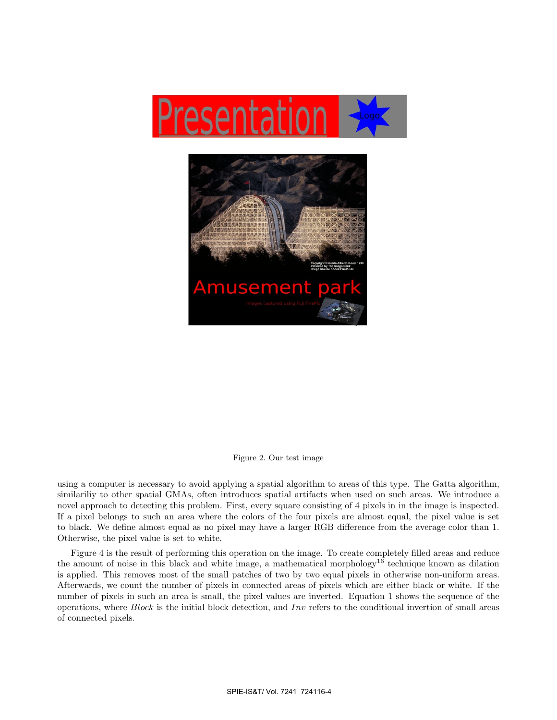

#### Figure 2. Our test image

using a computer is necessary to avoid applying a spatial algorithm to areas of this type. The Gatta algorithm, similariliy to other spatial GMAs, often introduces spatial artifacts when used on such areas. We introduce a novel approach to detecting this problem. First, every square consisting of 4 pixels in in the image is inspected. If a pixel belongs to such an area where the colors of the four pixels are almost equal, the pixel value is set to black. We define almost equal as no pixel may have a larger RGB difference from the average color than 1. Otherwise, the pixel value is set to white.

Figure 4 is the result of performing this operation on the image. To create completely filled areas and reduce the amount of noise in this black and white image, a mathematical morphology<sup>16</sup> technique known as dilation is applied. This removes most of the small patches of two by two equal pixels in otherwise non-uniform areas. Afterwards, we count the number of pixels in connected areas of pixels which are either black or white. If the number of pixels in such an area is small, the pixel values are inverted. Equation 1 shows the sequence of the operations, where  $Block$  is the initial block detection, and Inv refers to the conditional invertion of small areas of connected pixels.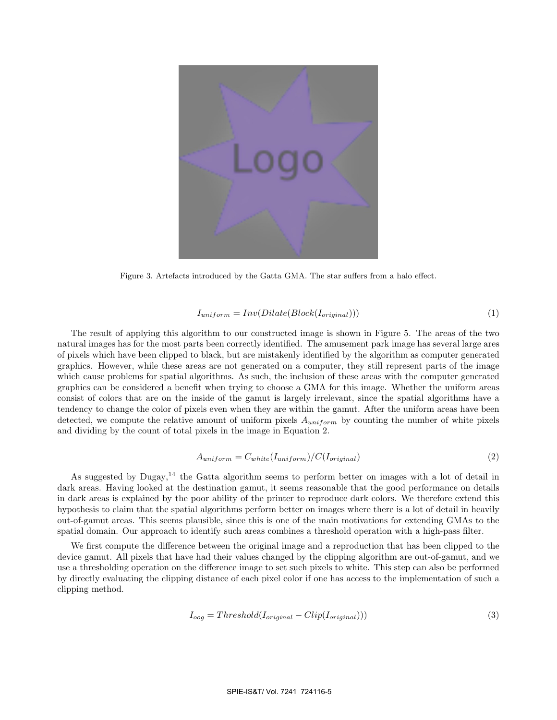

Figure 3. Artefacts introduced by the Gatta GMA. The star suffers from a halo effect.

$$
I_{uniform} = Inv(Dilate(Block(I_{original})))
$$
\n(1)

The result of applying this algorithm to our constructed image is shown in Figure 5. The areas of the two natural images has for the most parts been correctly identified. The amusement park image has several large ares of pixels which have been clipped to black, but are mistakenly identified by the algorithm as computer generated graphics. However, while these areas are not generated on a computer, they still represent parts of the image which cause problems for spatial algorithms. As such, the inclusion of these areas with the computer generated graphics can be considered a benefit when trying to choose a GMA for this image. Whether the uniform areas consist of colors that are on the inside of the gamut is largely irrelevant, since the spatial algorithms have a tendency to change the color of pixels even when they are within the gamut. After the uniform areas have been detected, we compute the relative amount of uniform pixels  $A_{uniform}$  by counting the number of white pixels and dividing by the count of total pixels in the image in Equation 2.

$$
A_{uniform} = C_{white}(I_{uniform})/C(I_{original})
$$
\n(2)

As suggested by Dugay,<sup>14</sup> the Gatta algorithm seems to perform better on images with a lot of detail in dark areas. Having looked at the destination gamut, it seems reasonable that the good performance on details in dark areas is explained by the poor ability of the printer to reproduce dark colors. We therefore extend this hypothesis to claim that the spatial algorithms perform better on images where there is a lot of detail in heavily out-of-gamut areas. This seems plausible, since this is one of the main motivations for extending GMAs to the spatial domain. Our approach to identify such areas combines a threshold operation with a high-pass filter.

We first compute the difference between the original image and a reproduction that has been clipped to the device gamut. All pixels that have had their values changed by the clipping algorithm are out-of-gamut, and we use a thresholding operation on the difference image to set such pixels to white. This step can also be performed by directly evaluating the clipping distance of each pixel color if one has access to the implementation of such a clipping method.

$$
I_{oog} = Threshold(I_{original} -Clip(I_{original})))
$$
\n(3)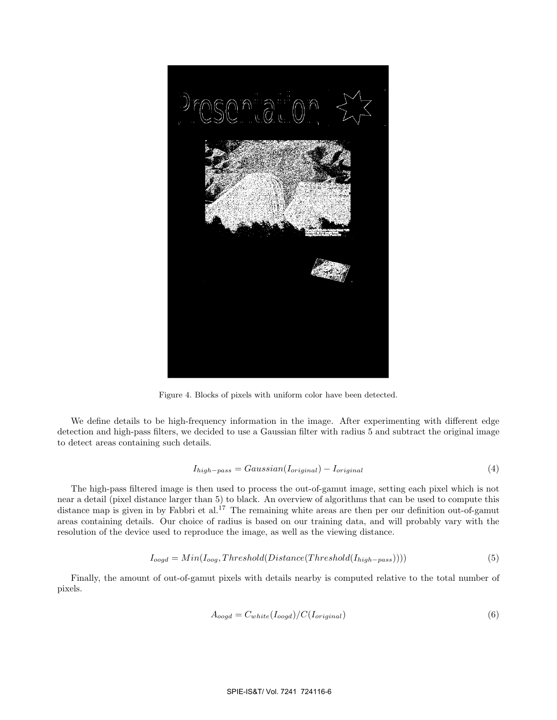

Figure 4. Blocks of pixels with uniform color have been detected.

We define details to be high-frequency information in the image. After experimenting with different edge detection and high-pass filters, we decided to use a Gaussian filter with radius 5 and subtract the original image to detect areas containing such details.

$$
I_{high-pass} = Gaussian(I_{original}) - I_{original}
$$
\n(4)

The high-pass filtered image is then used to process the out-of-gamut image, setting each pixel which is not near a detail (pixel distance larger than 5) to black. An overview of algorithms that can be used to compute this distance map is given in by Fabbri et al.<sup>17</sup> The remaining white areas are then per our definition out-of-gamut areas containing details. Our choice of radius is based on our training data, and will probably vary with the resolution of the device used to reproduce the image, as well as the viewing distance.

$$
I_{oogd} = Min(I_{oog}, Threshold(Distance(Threshold(I_{high-pass}))))
$$
\n(5)

Finally, the amount of out-of-gamut pixels with details nearby is computed relative to the total number of pixels.

$$
A_{oogd} = C_{white}(I_{oogd}) / C(I_{original})
$$
\n(6)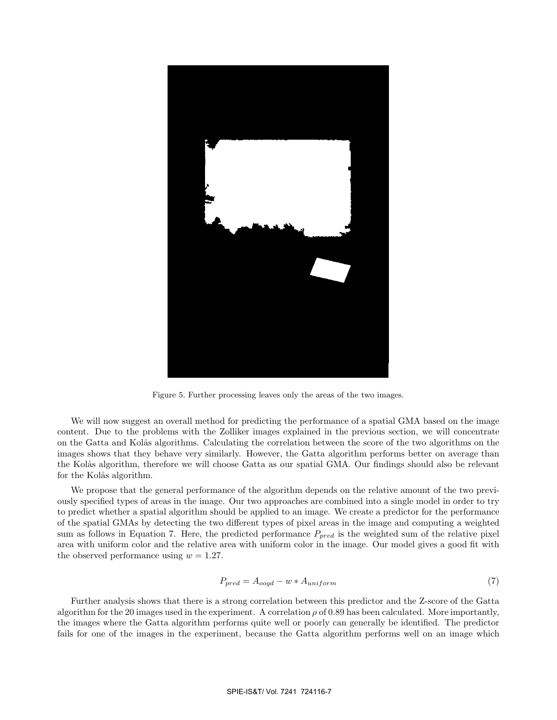

Figure 5. Further processing leaves only the areas of the two images.

We will now suggest an overall method for predicting the performance of a spatial GMA based on the image content. Due to the problems with the Zolliker images explained in the previous section, we will concentrate on the Gatta and Kol˚as algorithms. Calculating the correlation between the score of the two algorithms on the images shows that they behave very similarly. However, the Gatta algorithm performs better on average than the Kolås algorithm, therefore we will choose Gatta as our spatial GMA. Our findings should also be relevant for the Kolås algorithm.

We propose that the general performance of the algorithm depends on the relative amount of the two previously specified types of areas in the image. Our two approaches are combined into a single model in order to try to predict whether a spatial algorithm should be applied to an image. We create a predictor for the performance of the spatial GMAs by detecting the two different types of pixel areas in the image and computing a weighted sum as follows in Equation 7. Here, the predicted performance P*pred* is the weighted sum of the relative pixel area with uniform color and the relative area with uniform color in the image. Our model gives a good fit with the observed performance using  $w = 1.27$ .

$$
P_{pred} = A_{oogd} - w * A_{uniform}
$$
\n<sup>(7)</sup>

Further analysis shows that there is a strong correlation between this predictor and the Z-score of the Gatta algorithm for the 20 images used in the experiment. A correlation  $\rho$  of 0.89 has been calculated. More importantly, the images where the Gatta algorithm performs quite well or poorly can generally be identified. The predictor fails for one of the images in the experiment, because the Gatta algorithm performs well on an image which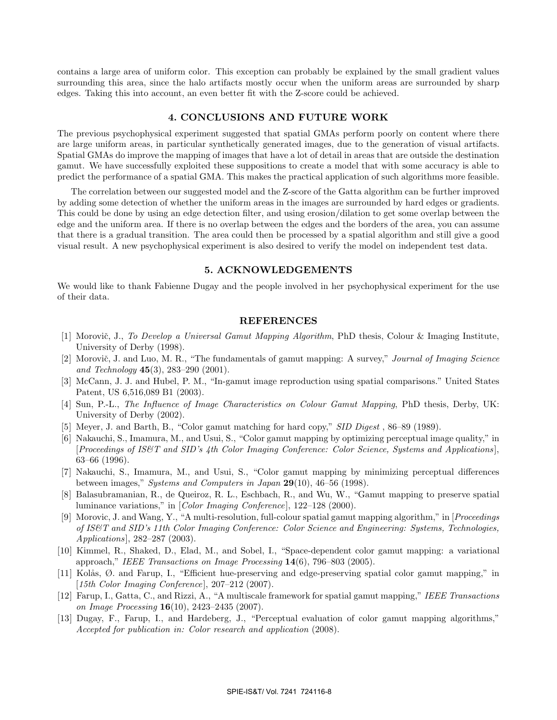contains a large area of uniform color. This exception can probably be explained by the small gradient values surrounding this area, since the halo artifacts mostly occur when the uniform areas are surrounded by sharp edges. Taking this into account, an even better fit with the Z-score could be achieved.

#### **4. CONCLUSIONS AND FUTURE WORK**

The previous psychophysical experiment suggested that spatial GMAs perform poorly on content where there are large uniform areas, in particular synthetically generated images, due to the generation of visual artifacts. Spatial GMAs do improve the mapping of images that have a lot of detail in areas that are outside the destination gamut. We have successfully exploited these suppositions to create a model that with some accuracy is able to predict the performance of a spatial GMA. This makes the practical application of such algorithms more feasible.

The correlation between our suggested model and the Z-score of the Gatta algorithm can be further improved by adding some detection of whether the uniform areas in the images are surrounded by hard edges or gradients. This could be done by using an edge detection filter, and using erosion/dilation to get some overlap between the edge and the uniform area. If there is no overlap between the edges and the borders of the area, you can assume that there is a gradual transition. The area could then be processed by a spatial algorithm and still give a good visual result. A new psychophysical experiment is also desired to verify the model on independent test data.

#### **5. ACKNOWLEDGEMENTS**

We would like to thank Fabienne Dugay and the people involved in her psychophysical experiment for the use of their data.

#### **REFERENCES**

- [1] Moroviˇc, J., *To Develop a Universal Gamut Mapping Algorithm*, PhD thesis, Colour & Imaging Institute, University of Derby (1998).
- [2] Morovič, J. and Luo, M. R., "The fundamentals of gamut mapping: A survey," *Journal of Imaging Science and Technology* **45**(3), 283–290 (2001).
- [3] McCann, J. J. and Hubel, P. M., "In-gamut image reproduction using spatial comparisons." United States Patent, US 6,516,089 B1 (2003).
- [4] Sun, P.-L., *The Influence of Image Characteristics on Colour Gamut Mapping*, PhD thesis, Derby, UK: University of Derby (2002).
- [5] Meyer, J. and Barth, B., "Color gamut matching for hard copy," *SID Digest* , 86–89 (1989).
- [6] Nakauchi, S., Imamura, M., and Usui, S., "Color gamut mapping by optimizing perceptual image quality," in [*Proceedings of IS&T and SID's 4th Color Imaging Conference: Color Science, Systems and Applications*], 63–66 (1996).
- [7] Nakauchi, S., Imamura, M., and Usui, S., "Color gamut mapping by minimizing perceptual differences between images," *Systems and Computers in Japan* **29**(10), 46–56 (1998).
- [8] Balasubramanian, R., de Queiroz, R. L., Eschbach, R., and Wu, W., "Gamut mapping to preserve spatial luminance variations," in [*Color Imaging Conference*], 122–128 (2000).
- [9] Morovic, J. and Wang, Y., "A multi-resolution, full-colour spatial gamut mapping algorithm," in [*Proceedings of IS&T and SID's 11th Color Imaging Conference: Color Science and Engineering: Systems, Technologies, Applications*], 282–287 (2003).
- [10] Kimmel, R., Shaked, D., Elad, M., and Sobel, I., "Space-dependent color gamut mapping: a variational approach," *IEEE Transactions on Image Processing* **14**(6), 796–803 (2005).
- [11] Kolås, Ø. and Farup, I., "Efficient hue-preserving and edge-preserving spatial color gamut mapping," in [*15th Color Imaging Conference*], 207–212 (2007).
- [12] Farup, I., Gatta, C., and Rizzi, A., "A multiscale framework for spatial gamut mapping," *IEEE Transactions on Image Processing* **16**(10), 2423–2435 (2007).
- [13] Dugay, F., Farup, I., and Hardeberg, J., "Perceptual evaluation of color gamut mapping algorithms," *Accepted for publication in: Color research and application* (2008).